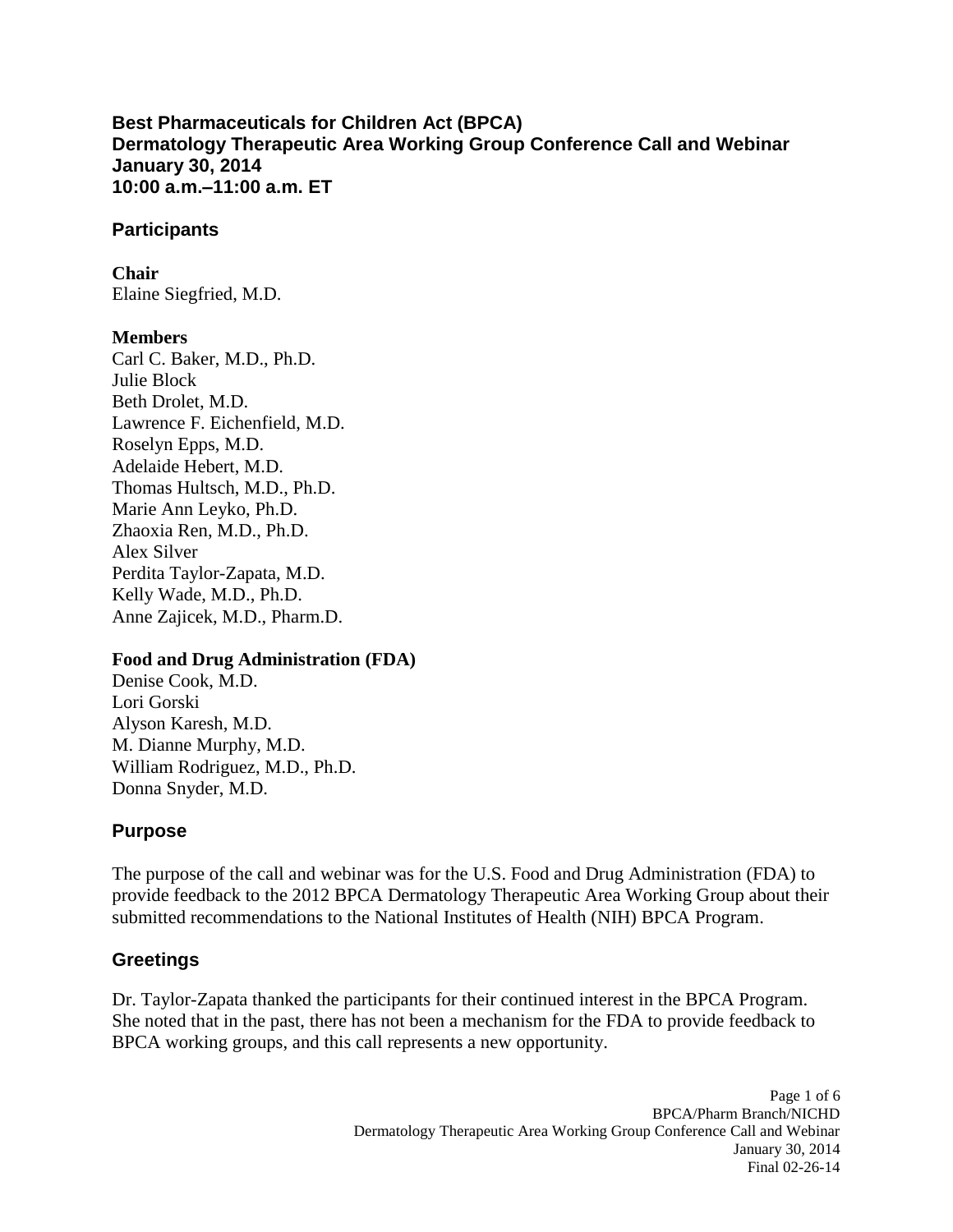**10:00 a.m.–11:00 a.m. ET Best Pharmaceuticals for Children Act (BPCA) Dermatology Therapeutic Area Working Group Conference Call and Webinar January 30, 2014** 

#### **Participants**

### **Chair**

Elaine Siegfried, M.D.

### **Members**

 Roselyn Epps, M.D. Carl C. Baker, M.D., Ph.D. Julie Block Beth Drolet, M.D. Lawrence F. Eichenfield, M.D. Adelaide Hebert, M.D. Thomas Hultsch, M.D., Ph.D. Marie Ann Leyko, Ph.D. Zhaoxia Ren, M.D., Ph.D. Alex Silver Perdita Taylor-Zapata, M.D. Kelly Wade, M.D., Ph.D. Anne Zajicek, M.D., Pharm.D.

#### **Food and Drug Administration (FDA)**

Denise Cook, M.D. Lori Gorski Alyson Karesh, M.D. M. Dianne Murphy, M.D. William Rodriguez, M.D., Ph.D. Donna Snyder, M.D.

## **Purpose**

 The purpose of the call and webinar was for the U.S. Food and Drug Administration (FDA) to submitted recommendations to the National Institutes of Health (NIH) BPCA Program. provide feedback to the 2012 BPCA Dermatology Therapeutic Area Working Group about their

## **Greetings**

Dr. Taylor-Zapata thanked the participants for their continued interest in the BPCA Program. She noted that in the past, there has not been a mechanism for the FDA to provide feedback to BPCA working groups, and this call represents a new opportunity.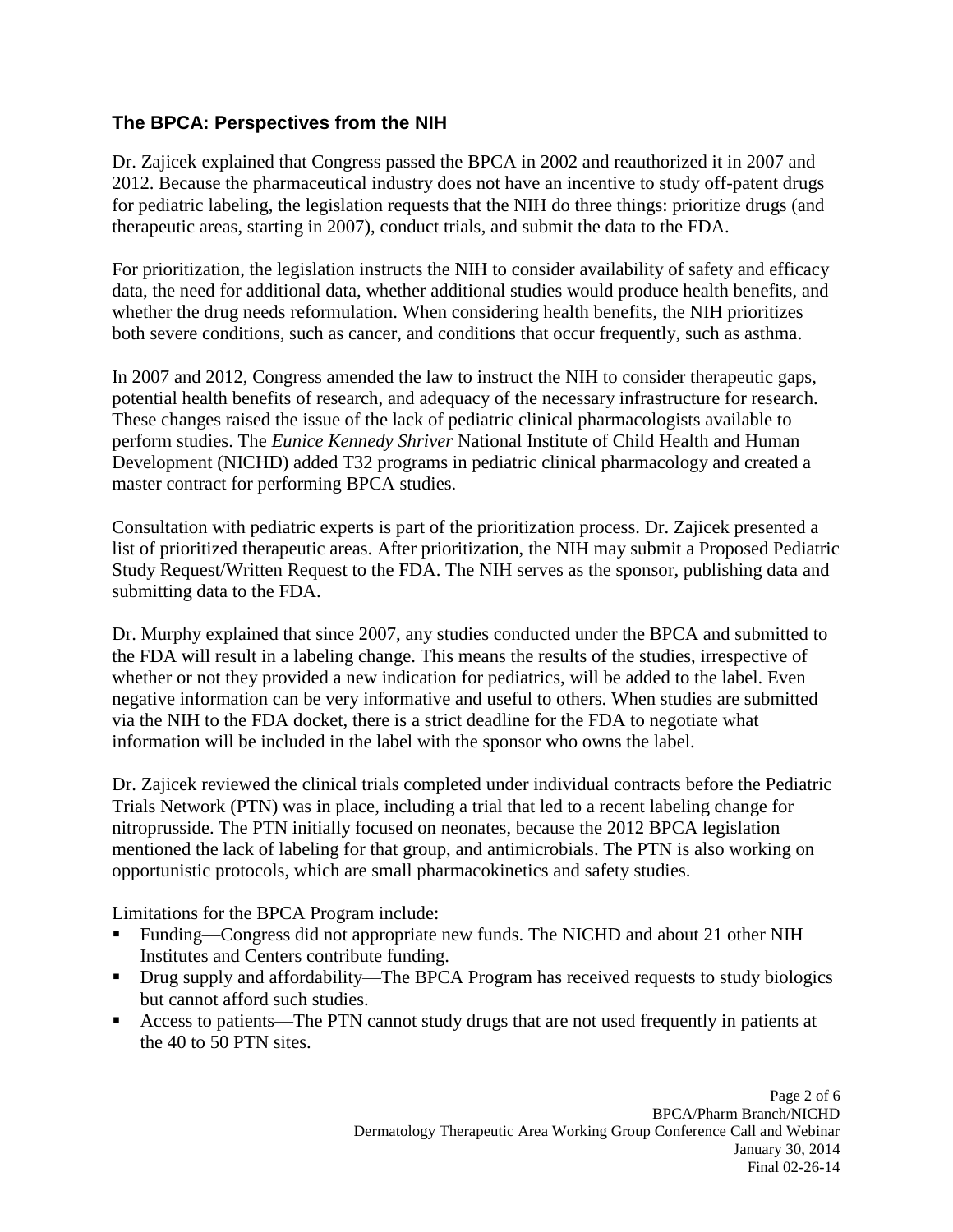## **The BPCA: Perspectives from the NIH**

 Dr. Zajicek explained that Congress passed the BPCA in 2002 and reauthorized it in 2007 and 2012. Because the pharmaceutical industry does not have an incentive to study off-patent drugs for pediatric labeling, the legislation requests that the NIH do three things: prioritize drugs (and therapeutic areas, starting in 2007), conduct trials, and submit the data to the FDA.

For prioritization, the legislation instructs the NIH to consider availability of safety and efficacy data, the need for additional data, whether additional studies would produce health benefits, and whether the drug needs reformulation. When considering health benefits, the NIH prioritizes both severe conditions, such as cancer, and conditions that occur frequently, such as asthma.

In 2007 and 2012, Congress amended the law to instruct the NIH to consider therapeutic gaps, potential health benefits of research, and adequacy of the necessary infrastructure for research. These changes raised the issue of the lack of pediatric clinical pharmacologists available to perform studies. The *Eunice Kennedy Shriver* National Institute of Child Health and Human Development (NICHD) added T32 programs in pediatric clinical pharmacology and created a master contract for performing BPCA studies.

Consultation with pediatric experts is part of the prioritization process. Dr. Zajicek presented a list of prioritized therapeutic areas. After prioritization, the NIH may submit a Proposed Pediatric Study Request/Written Request to the FDA. The NIH serves as the sponsor, publishing data and submitting data to the FDA.

 whether or not they provided a new indication for pediatrics, will be added to the label. Even Dr. Murphy explained that since 2007, any studies conducted under the BPCA and submitted to the FDA will result in a labeling change. This means the results of the studies, irrespective of negative information can be very informative and useful to others. When studies are submitted via the NIH to the FDA docket, there is a strict deadline for the FDA to negotiate what information will be included in the label with the sponsor who owns the label.

Dr. Zajicek reviewed the clinical trials completed under individual contracts before the Pediatric Trials Network (PTN) was in place, including a trial that led to a recent labeling change for nitroprusside. The PTN initially focused on neonates, because the 2012 BPCA legislation mentioned the lack of labeling for that group, and antimicrobials. The PTN is also working on opportunistic protocols, which are small pharmacokinetics and safety studies.

Limitations for the BPCA Program include:

- Funding—Congress did not appropriate new funds. The NICHD and about 21 other NIH Institutes and Centers contribute funding.
- Drug supply and affordability—The BPCA Program has received requests to study biologics but cannot afford such studies.
- the 40 to 50 PTN sites. Access to patients—The PTN cannot study drugs that are not used frequently in patients at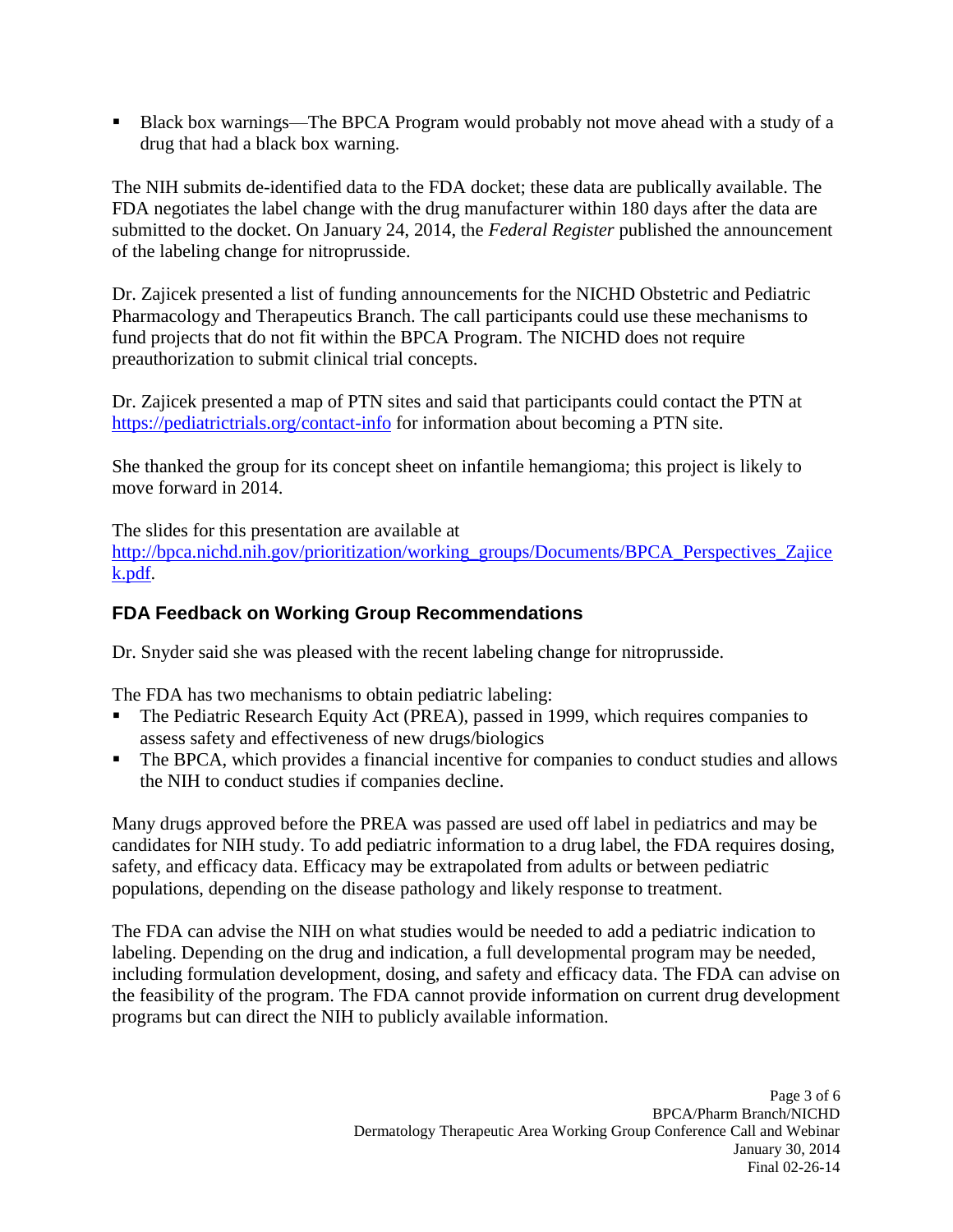drug that had a black box warning. Black box warnings—The BPCA Program would probably not move ahead with a study of a

 The NIH submits de-identified data to the FDA docket; these data are publically available. The FDA negotiates the label change with the drug manufacturer within 180 days after the data are submitted to the docket. On January 24, 2014, the *Federal Register* published the announcement of the labeling change for nitroprusside.

Dr. Zajicek presented a list of funding announcements for the NICHD Obstetric and Pediatric Pharmacology and Therapeutics Branch. The call participants could use these mechanisms to fund projects that do not fit within the BPCA Program. The NICHD does not require preauthorization to submit clinical trial concepts.

Dr. Zajicek presented a map of PTN sites and said that participants could contact the PTN at <https://pediatrictrials.org/contact-info>for information about becoming a PTN site.

She thanked the group for its concept sheet on infantile hemangioma; this project is likely to move forward in 2014.

The slides for this presentation are available at http://bpca.nichd.nih.gov/prioritization/working\_groups/Documents/BPCA\_Perspectives\_Zajice [k.pdf.](http://bpca.nichd.nih.gov/prioritization/working_groups/Documents/BPCA_Perspectives_Zajicek.pdf)

## **FDA Feedback on Working Group Recommendations**

Dr. Snyder said she was pleased with the recent labeling change for nitroprusside.

The FDA has two mechanisms to obtain pediatric labeling:

- The Pediatric Research Equity Act (PREA), passed in 1999, which requires companies to assess safety and effectiveness of new drugs/biologics
- The BPCA, which provides a financial incentive for companies to conduct studies and allows the NIH to conduct studies if companies decline.

 Many drugs approved before the PREA was passed are used off label in pediatrics and may be candidates for NIH study. To add pediatric information to a drug label, the FDA requires dosing, safety, and efficacy data. Efficacy may be extrapolated from adults or between pediatric populations, depending on the disease pathology and likely response to treatment.

 including formulation development, dosing, and safety and efficacy data. The FDA can advise on The FDA can advise the NIH on what studies would be needed to add a pediatric indication to labeling. Depending on the drug and indication, a full developmental program may be needed, the feasibility of the program. The FDA cannot provide information on current drug development programs but can direct the NIH to publicly available information.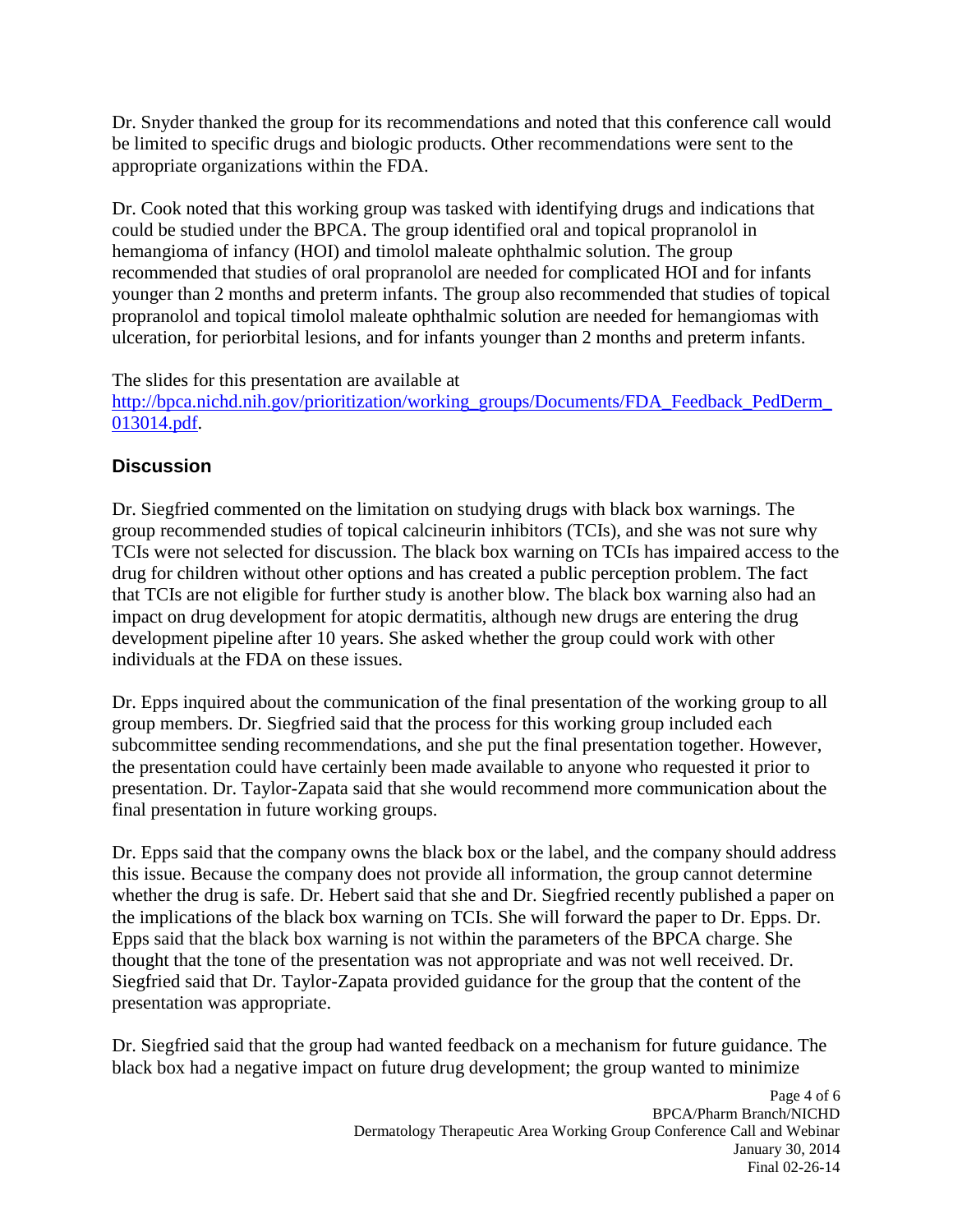Dr. Snyder thanked the group for its recommendations and noted that this conference call would be limited to specific drugs and biologic products. Other recommendations were sent to the appropriate organizations within the FDA.

Dr. Cook noted that this working group was tasked with identifying drugs and indications that could be studied under the BPCA. The group identified oral and topical propranolol in hemangioma of infancy (HOI) and timolol maleate ophthalmic solution. The group recommended that studies of oral propranolol are needed for complicated HOI and for infants younger than 2 months and preterm infants. The group also recommended that studies of topical propranolol and topical timolol maleate ophthalmic solution are needed for hemangiomas with ulceration, for periorbital lesions, and for infants younger than 2 months and preterm infants.

The slides for this presentation are available at

[http://bpca.nichd.nih.gov/prioritization/working\\_groups/Documents/FDA\\_Feedback\\_PedDerm\\_](http://bpca.nichd.nih.gov/prioritization/working_groups/Documents/FDA_Feedback_PedDerm_013014.pdf)  [013014.pdf.](http://bpca.nichd.nih.gov/prioritization/working_groups/Documents/FDA_Feedback_PedDerm_013014.pdf)

# **Discussion**

 group recommended studies of topical calcineurin inhibitors (TCIs), and she was not sure why Dr. Siegfried commented on the limitation on studying drugs with black box warnings. The TCIs were not selected for discussion. The black box warning on TCIs has impaired access to the drug for children without other options and has created a public perception problem. The fact that TCIs are not eligible for further study is another blow. The black box warning also had an impact on drug development for atopic dermatitis, although new drugs are entering the drug development pipeline after 10 years. She asked whether the group could work with other individuals at the FDA on these issues.

 Dr. Epps inquired about the communication of the final presentation of the working group to all subcommittee sending recommendations, and she put the final presentation together. However, final presentation in future working groups. group members. Dr. Siegfried said that the process for this working group included each the presentation could have certainly been made available to anyone who requested it prior to presentation. Dr. Taylor-Zapata said that she would recommend more communication about the

Dr. Epps said that the company owns the black box or the label, and the company should address this issue. Because the company does not provide all information, the group cannot determine whether the drug is safe. Dr. Hebert said that she and Dr. Siegfried recently published a paper on the implications of the black box warning on TCIs. She will forward the paper to Dr. Epps. Dr. Epps said that the black box warning is not within the parameters of the BPCA charge. She thought that the tone of the presentation was not appropriate and was not well received. Dr. Siegfried said that Dr. Taylor-Zapata provided guidance for the group that the content of the presentation was appropriate.

Dr. Siegfried said that the group had wanted feedback on a mechanism for future guidance. The black box had a negative impact on future drug development; the group wanted to minimize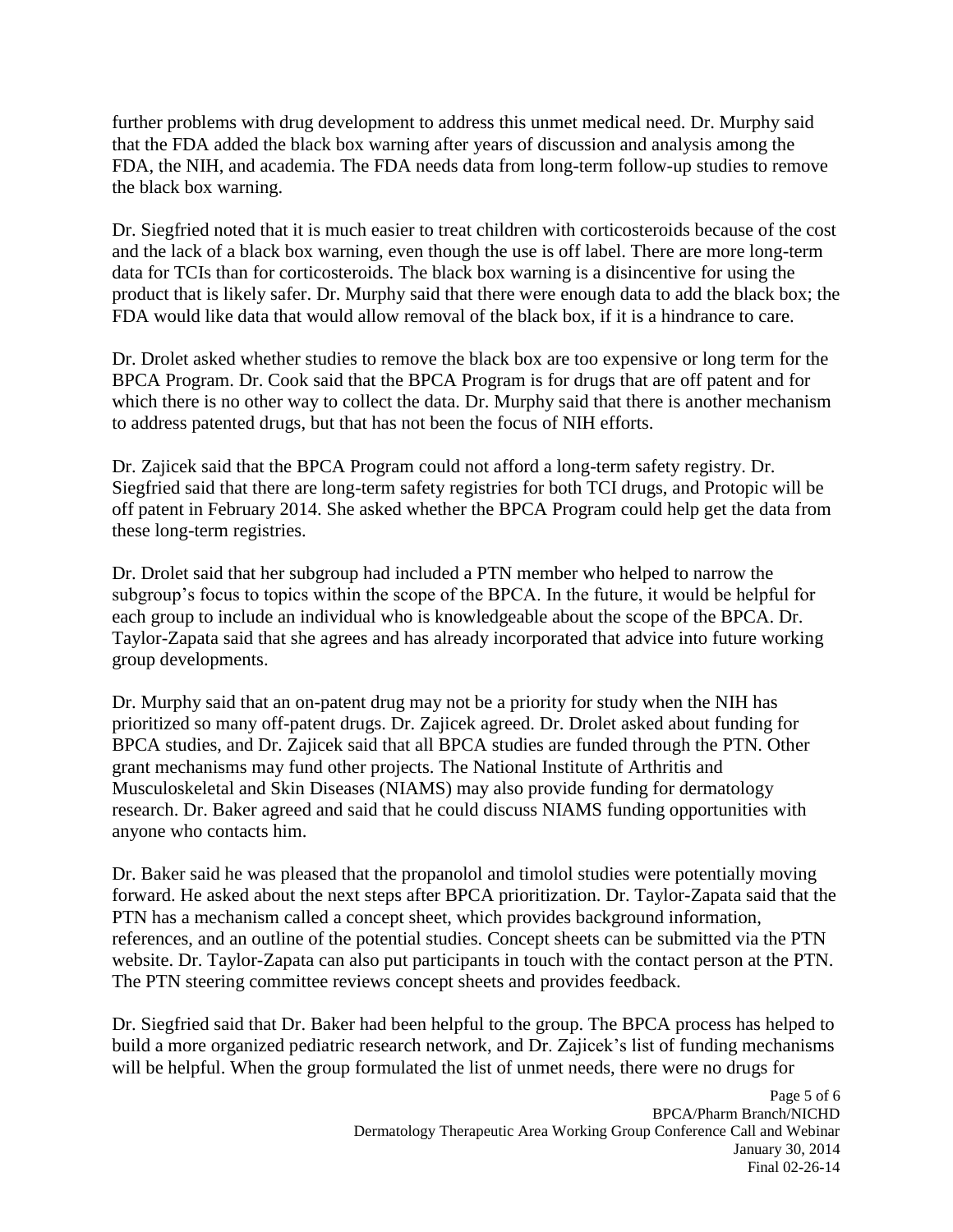that the FDA added the black box warning after years of discussion and analysis among the the black box warning. further problems with drug development to address this unmet medical need. Dr. Murphy said FDA, the NIH, and academia. The FDA needs data from long-term follow-up studies to remove

 FDA would like data that would allow removal of the black box, if it is a hindrance to care. Dr. Siegfried noted that it is much easier to treat children with corticosteroids because of the cost and the lack of a black box warning, even though the use is off label. There are more long-term data for TCIs than for corticosteroids. The black box warning is a disincentive for using the product that is likely safer. Dr. Murphy said that there were enough data to add the black box; the

 Dr. Drolet asked whether studies to remove the black box are too expensive or long term for the BPCA Program. Dr. Cook said that the BPCA Program is for drugs that are off patent and for which there is no other way to collect the data. Dr. Murphy said that there is another mechanism to address patented drugs, but that has not been the focus of NIH efforts.

Dr. Zajicek said that the BPCA Program could not afford a long-term safety registry. Dr. Siegfried said that there are long-term safety registries for both TCI drugs, and Protopic will be off patent in February 2014. She asked whether the BPCA Program could help get the data from these long-term registries.

Dr. Drolet said that her subgroup had included a PTN member who helped to narrow the subgroup's focus to topics within the scope of the BPCA. In the future, it would be helpful for each group to include an individual who is knowledgeable about the scope of the BPCA. Dr. Taylor-Zapata said that she agrees and has already incorporated that advice into future working group developments.

 prioritized so many off-patent drugs. Dr. Zajicek agreed. Dr. Drolet asked about funding for grant mechanisms may fund other projects. The National Institute of Arthritis and Dr. Murphy said that an on-patent drug may not be a priority for study when the NIH has BPCA studies, and Dr. Zajicek said that all BPCA studies are funded through the PTN. Other Musculoskeletal and Skin Diseases (NIAMS) may also provide funding for dermatology research. Dr. Baker agreed and said that he could discuss NIAMS funding opportunities with anyone who contacts him.

The PTN steering committee reviews concept sheets and provides feedback. Dr. Baker said he was pleased that the propanolol and timolol studies were potentially moving forward. He asked about the next steps after BPCA prioritization. Dr. Taylor-Zapata said that the PTN has a mechanism called a concept sheet, which provides background information, references, and an outline of the potential studies. Concept sheets can be submitted via the PTN website. Dr. Taylor-Zapata can also put participants in touch with the contact person at the PTN.

Dr. Siegfried said that Dr. Baker had been helpful to the group. The BPCA process has helped to build a more organized pediatric research network, and Dr. Zajicek's list of funding mechanisms will be helpful. When the group formulated the list of unmet needs, there were no drugs for